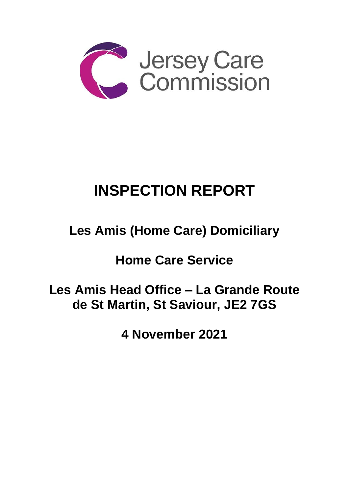

# **INSPECTION REPORT**

## **Les Amis (Home Care) Domiciliary**

**Home Care Service** 

**Les Amis Head Office – La Grande Route de St Martin, St Saviour, JE2 7GS**

**4 November 2021**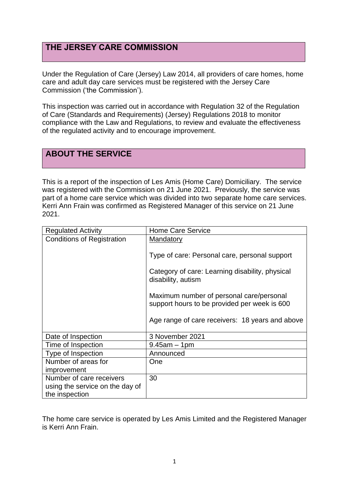## **THE JERSEY CARE COMMISSION**

Under the Regulation of Care (Jersey) Law 2014, all providers of care homes, home care and adult day care services must be registered with the Jersey Care Commission ('the Commission').

This inspection was carried out in accordance with Regulation 32 of the Regulation of Care (Standards and Requirements) (Jersey) Regulations 2018 to monitor compliance with the Law and Regulations, to review and evaluate the effectiveness of the regulated activity and to encourage improvement.

## **ABOUT THE SERVICE**

This is a report of the inspection of Les Amis (Home Care) Domiciliary. The service was registered with the Commission on 21 June 2021. Previously, the service was part of a home care service which was divided into two separate home care services. Kerri Ann Frain was confirmed as Registered Manager of this service on 21 June 2021.

| <b>Regulated Activity</b>         | <b>Home Care Service</b>                                              |
|-----------------------------------|-----------------------------------------------------------------------|
| <b>Conditions of Registration</b> | <b>Mandatory</b>                                                      |
|                                   |                                                                       |
|                                   | Type of care: Personal care, personal support                         |
|                                   |                                                                       |
|                                   | Category of care: Learning disability, physical<br>disability, autism |
|                                   | Maximum number of personal care/personal                              |
|                                   | support hours to be provided per week is 600                          |
|                                   |                                                                       |
|                                   | Age range of care receivers: 18 years and above                       |
| Date of Inspection                | 3 November 2021                                                       |
| Time of Inspection                | $9.45$ am $-1$ pm                                                     |
| Type of Inspection                | Announced                                                             |
| Number of areas for               | One                                                                   |
| improvement                       |                                                                       |
| Number of care receivers          | 30                                                                    |
| using the service on the day of   |                                                                       |
| the inspection                    |                                                                       |

The home care service is operated by Les Amis Limited and the Registered Manager is Kerri Ann Frain.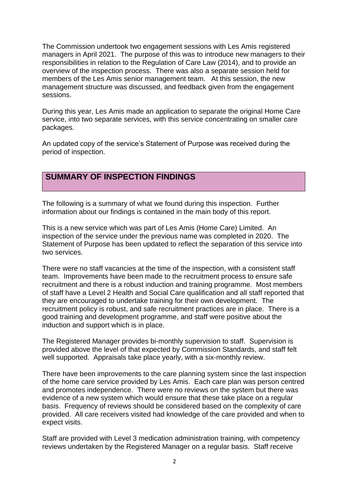The Commission undertook two engagement sessions with Les Amis registered managers in April 2021. The purpose of this was to introduce new managers to their responsibilities in relation to the Regulation of Care Law (2014), and to provide an overview of the inspection process. There was also a separate session held for members of the Les Amis senior management team. At this session, the new management structure was discussed, and feedback given from the engagement sessions.

During this year, Les Amis made an application to separate the original Home Care service, into two separate services, with this service concentrating on smaller care packages.

An updated copy of the service's Statement of Purpose was received during the period of inspection.

## **SUMMARY OF INSPECTION FINDINGS**

The following is a summary of what we found during this inspection. Further information about our findings is contained in the main body of this report.

This is a new service which was part of Les Amis (Home Care) Limited. An inspection of the service under the previous name was completed in 2020. The Statement of Purpose has been updated to reflect the separation of this service into two services.

There were no staff vacancies at the time of the inspection, with a consistent staff team. Improvements have been made to the recruitment process to ensure safe recruitment and there is a robust induction and training programme. Most members of staff have a Level 2 Health and Social Care qualification and all staff reported that they are encouraged to undertake training for their own development. The recruitment policy is robust, and safe recruitment practices are in place. There is a good training and development programme, and staff were positive about the induction and support which is in place.

The Registered Manager provides bi-monthly supervision to staff. Supervision is provided above the level of that expected by Commission Standards, and staff felt well supported. Appraisals take place yearly, with a six-monthly review.

There have been improvements to the care planning system since the last inspection of the home care service provided by Les Amis. Each care plan was person centred and promotes independence. There were no reviews on the system but there was evidence of a new system which would ensure that these take place on a regular basis. Frequency of reviews should be considered based on the complexity of care provided. All care receivers visited had knowledge of the care provided and when to expect visits.

Staff are provided with Level 3 medication administration training, with competency reviews undertaken by the Registered Manager on a regular basis. Staff receive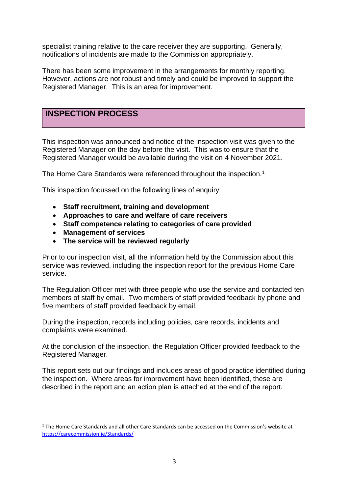specialist training relative to the care receiver they are supporting. Generally, notifications of incidents are made to the Commission appropriately.

There has been some improvement in the arrangements for monthly reporting. However, actions are not robust and timely and could be improved to support the Registered Manager. This is an area for improvement.

## **INSPECTION PROCESS**

This inspection was announced and notice of the inspection visit was given to the Registered Manager on the day before the visit. This was to ensure that the Registered Manager would be available during the visit on 4 November 2021.

The Home Care Standards were referenced throughout the inspection.<sup>1</sup>

This inspection focussed on the following lines of enquiry:

- **Staff recruitment, training and development**
- **Approaches to care and welfare of care receivers**
- **Staff competence relating to categories of care provided**
- **Management of services**
- **The service will be reviewed regularly**

Prior to our inspection visit, all the information held by the Commission about this service was reviewed, including the inspection report for the previous Home Care service.

The Regulation Officer met with three people who use the service and contacted ten members of staff by email. Two members of staff provided feedback by phone and five members of staff provided feedback by email.

During the inspection, records including policies, care records, incidents and complaints were examined.

At the conclusion of the inspection, the Regulation Officer provided feedback to the Registered Manager.

This report sets out our findings and includes areas of good practice identified during the inspection. Where areas for improvement have been identified, these are described in the report and an action plan is attached at the end of the report.

 $1$  The Home Care Standards and all other Care Standards can be accessed on the Commission's website at [https://carecommission.je/Standards/](https://carecommission.je/standards/)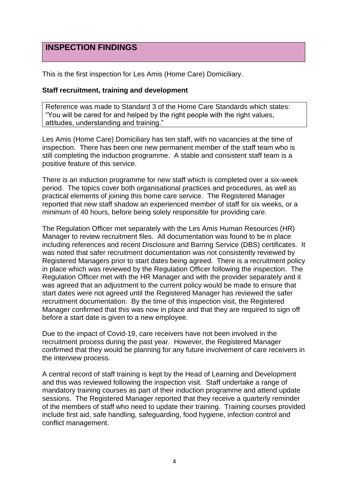## **INSPECTION FINDINGS**

This is the first inspection for Les Amis (Home Care) Domiciliary.

#### **Staff recruitment, training and development**

Reference was made to Standard 3 of the Home Care Standards which states: "You will be cared for and helped by the right people with the right values, attitudes, understanding and training."

Les Amis (Home Care) Domiciliary has ten staff, with no vacancies at the time of inspection. There has been one new permanent member of the staff team who is still completing the induction programme. A stable and consistent staff team is a positive feature of this service.

There is an induction programme for new staff which is completed over a six-week period. The topics cover both organisational practices and procedures, as well as practical elements of joining this home care service. The Registered Manager reported that new staff shadow an experienced member of staff for six weeks, or a minimum of 40 hours, before being solely responsible for providing care.

The Regulation Officer met separately with the Les Amis Human Resources (HR) Manager to review recruitment files. All documentation was found to be in place including references and recent Disclosure and Barring Service (DBS) certificates. It was noted that safer recruitment documentation was not consistently reviewed by Registered Managers prior to start dates being agreed. There is a recruitment policy in place which was reviewed by the Regulation Officer following the inspection. The Regulation Officer met with the HR Manager and with the provider separately and it was agreed that an adjustment to the current policy would be made to ensure that start dates were not agreed until the Registered Manager has reviewed the safer recruitment documentation. By the time of this inspection visit, the Registered Manager confirmed that this was now in place and that they are required to sign off before a start date is given to a new employee.

Due to the impact of Covid-19, care receivers have not been involved in the recruitment process during the past year. However, the Registered Manager confirmed that they would be planning for any future involvement of care receivers in the interview process.

A central record of staff training is kept by the Head of Learning and Development and this was reviewed following the inspection visit. Staff undertake a range of mandatory training courses as part of their induction programme and attend update sessions. The Registered Manager reported that they receive a quarterly reminder of the members of staff who need to update their training. Training courses provided include first aid, safe handling, safeguarding, food hygiene, infection control and conflict management.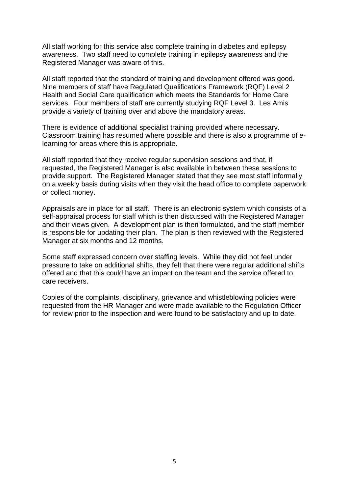All staff working for this service also complete training in diabetes and epilepsy awareness. Two staff need to complete training in epilepsy awareness and the Registered Manager was aware of this.

All staff reported that the standard of training and development offered was good. Nine members of staff have Regulated Qualifications Framework (RQF) Level 2 Health and Social Care qualification which meets the Standards for Home Care services. Four members of staff are currently studying RQF Level 3. Les Amis provide a variety of training over and above the mandatory areas.

There is evidence of additional specialist training provided where necessary. Classroom training has resumed where possible and there is also a programme of elearning for areas where this is appropriate.

All staff reported that they receive regular supervision sessions and that, if requested, the Registered Manager is also available in between these sessions to provide support. The Registered Manager stated that they see most staff informally on a weekly basis during visits when they visit the head office to complete paperwork or collect money.

Appraisals are in place for all staff. There is an electronic system which consists of a self-appraisal process for staff which is then discussed with the Registered Manager and their views given. A development plan is then formulated, and the staff member is responsible for updating their plan. The plan is then reviewed with the Registered Manager at six months and 12 months.

Some staff expressed concern over staffing levels. While they did not feel under pressure to take on additional shifts, they felt that there were regular additional shifts offered and that this could have an impact on the team and the service offered to care receivers.

Copies of the complaints, disciplinary, grievance and whistleblowing policies were requested from the HR Manager and were made available to the Regulation Officer for review prior to the inspection and were found to be satisfactory and up to date.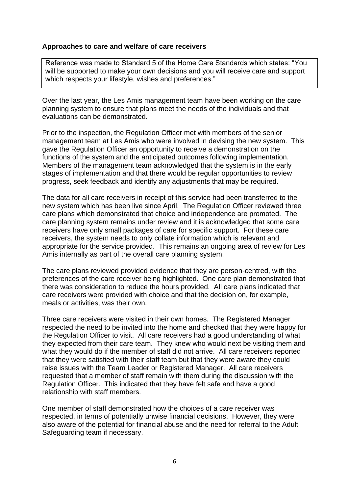#### **Approaches to care and welfare of care receivers**

Reference was made to Standard 5 of the Home Care Standards which states: "You will be supported to make your own decisions and you will receive care and support which respects your lifestyle, wishes and preferences."

Over the last year, the Les Amis management team have been working on the care planning system to ensure that plans meet the needs of the individuals and that evaluations can be demonstrated.

Prior to the inspection, the Regulation Officer met with members of the senior management team at Les Amis who were involved in devising the new system. This gave the Regulation Officer an opportunity to receive a demonstration on the functions of the system and the anticipated outcomes following implementation. Members of the management team acknowledged that the system is in the early stages of implementation and that there would be regular opportunities to review progress, seek feedback and identify any adjustments that may be required.

The data for all care receivers in receipt of this service had been transferred to the new system which has been live since April. The Regulation Officer reviewed three care plans which demonstrated that choice and independence are promoted. The care planning system remains under review and it is acknowledged that some care receivers have only small packages of care for specific support. For these care receivers, the system needs to only collate information which is relevant and appropriate for the service provided. This remains an ongoing area of review for Les Amis internally as part of the overall care planning system.

The care plans reviewed provided evidence that they are person-centred, with the preferences of the care receiver being highlighted. One care plan demonstrated that there was consideration to reduce the hours provided. All care plans indicated that care receivers were provided with choice and that the decision on, for example, meals or activities, was their own.

Three care receivers were visited in their own homes. The Registered Manager respected the need to be invited into the home and checked that they were happy for the Regulation Officer to visit. All care receivers had a good understanding of what they expected from their care team. They knew who would next be visiting them and what they would do if the member of staff did not arrive. All care receivers reported that they were satisfied with their staff team but that they were aware they could raise issues with the Team Leader or Registered Manager. All care receivers requested that a member of staff remain with them during the discussion with the Regulation Officer. This indicated that they have felt safe and have a good relationship with staff members.

One member of staff demonstrated how the choices of a care receiver was respected, in terms of potentially unwise financial decisions. However, they were also aware of the potential for financial abuse and the need for referral to the Adult Safeguarding team if necessary.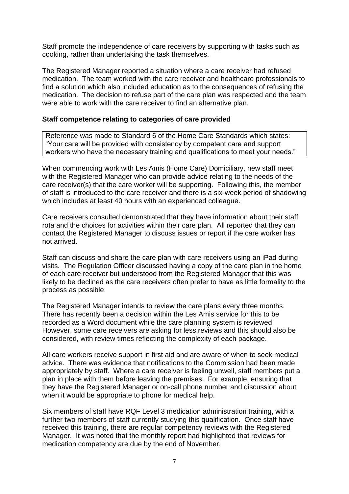Staff promote the independence of care receivers by supporting with tasks such as cooking, rather than undertaking the task themselves.

The Registered Manager reported a situation where a care receiver had refused medication. The team worked with the care receiver and healthcare professionals to find a solution which also included education as to the consequences of refusing the medication. The decision to refuse part of the care plan was respected and the team were able to work with the care receiver to find an alternative plan.

#### **Staff competence relating to categories of care provided**

Reference was made to Standard 6 of the Home Care Standards which states: "Your care will be provided with consistency by competent care and support workers who have the necessary training and qualifications to meet your needs."

When commencing work with Les Amis (Home Care) Domiciliary, new staff meet with the Registered Manager who can provide advice relating to the needs of the care receiver(s) that the care worker will be supporting. Following this, the member of staff is introduced to the care receiver and there is a six-week period of shadowing which includes at least 40 hours with an experienced colleague.

Care receivers consulted demonstrated that they have information about their staff rota and the choices for activities within their care plan. All reported that they can contact the Registered Manager to discuss issues or report if the care worker has not arrived.

Staff can discuss and share the care plan with care receivers using an iPad during visits. The Regulation Officer discussed having a copy of the care plan in the home of each care receiver but understood from the Registered Manager that this was likely to be declined as the care receivers often prefer to have as little formality to the process as possible.

The Registered Manager intends to review the care plans every three months. There has recently been a decision within the Les Amis service for this to be recorded as a Word document while the care planning system is reviewed. However, some care receivers are asking for less reviews and this should also be considered, with review times reflecting the complexity of each package.

All care workers receive support in first aid and are aware of when to seek medical advice. There was evidence that notifications to the Commission had been made appropriately by staff. Where a care receiver is feeling unwell, staff members put a plan in place with them before leaving the premises. For example, ensuring that they have the Registered Manager or on-call phone number and discussion about when it would be appropriate to phone for medical help.

Six members of staff have RQF Level 3 medication administration training, with a further two members of staff currently studying this qualification. Once staff have received this training, there are regular competency reviews with the Registered Manager. It was noted that the monthly report had highlighted that reviews for medication competency are due by the end of November.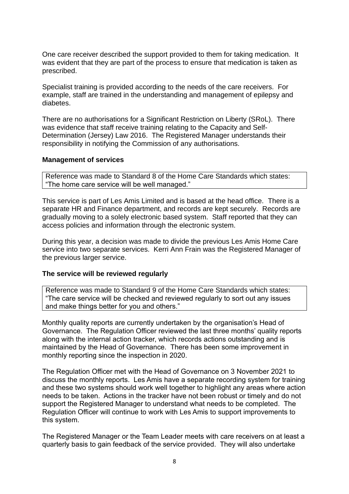One care receiver described the support provided to them for taking medication. It was evident that they are part of the process to ensure that medication is taken as prescribed.

Specialist training is provided according to the needs of the care receivers. For example, staff are trained in the understanding and management of epilepsy and diabetes.

There are no authorisations for a Significant Restriction on Liberty (SRoL). There was evidence that staff receive training relating to the Capacity and Self-Determination (Jersey) Law 2016. The Registered Manager understands their responsibility in notifying the Commission of any authorisations.

#### **Management of services**

Reference was made to Standard 8 of the Home Care Standards which states: "The home care service will be well managed."

This service is part of Les Amis Limited and is based at the head office. There is a separate HR and Finance department, and records are kept securely. Records are gradually moving to a solely electronic based system. Staff reported that they can access policies and information through the electronic system.

During this year, a decision was made to divide the previous Les Amis Home Care service into two separate services. Kerri Ann Frain was the Registered Manager of the previous larger service.

#### **The service will be reviewed regularly**

Reference was made to Standard 9 of the Home Care Standards which states: "The care service will be checked and reviewed regularly to sort out any issues and make things better for you and others."

Monthly quality reports are currently undertaken by the organisation's Head of Governance. The Regulation Officer reviewed the last three months' quality reports along with the internal action tracker, which records actions outstanding and is maintained by the Head of Governance. There has been some improvement in monthly reporting since the inspection in 2020.

The Regulation Officer met with the Head of Governance on 3 November 2021 to discuss the monthly reports. Les Amis have a separate recording system for training and these two systems should work well together to highlight any areas where action needs to be taken. Actions in the tracker have not been robust or timely and do not support the Registered Manager to understand what needs to be completed. The Regulation Officer will continue to work with Les Amis to support improvements to this system.

The Registered Manager or the Team Leader meets with care receivers on at least a quarterly basis to gain feedback of the service provided. They will also undertake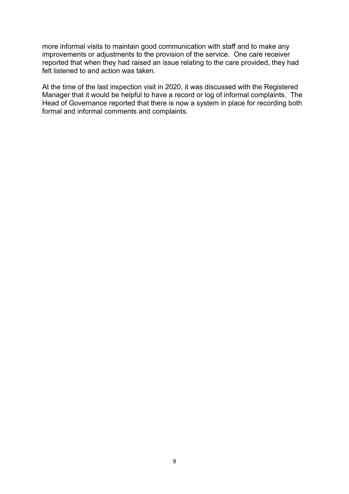more informal visits to maintain good communication with staff and to make any improvements or adjustments to the provision of the service. One care receiver reported that when they had raised an issue relating to the care provided, they had felt listened to and action was taken.

At the time of the last inspection visit in 2020, it was discussed with the Registered Manager that it would be helpful to have a record or log of informal complaints. The Head of Governance reported that there is now a system in place for recording both formal and informal comments and complaints.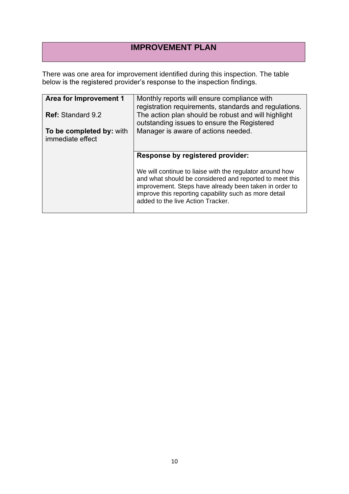## **IMPROVEMENT PLAN**

There was one area for improvement identified during this inspection. The table below is the registered provider's response to the inspection findings.

| Area for Improvement 1<br><b>Ref: Standard 9.2</b><br>To be completed by: with<br>immediate effect | Monthly reports will ensure compliance with<br>registration requirements, standards and regulations.<br>The action plan should be robust and will highlight<br>outstanding issues to ensure the Registered<br>Manager is aware of actions needed.                                                               |
|----------------------------------------------------------------------------------------------------|-----------------------------------------------------------------------------------------------------------------------------------------------------------------------------------------------------------------------------------------------------------------------------------------------------------------|
|                                                                                                    | Response by registered provider:<br>We will continue to liaise with the regulator around how<br>and what should be considered and reported to meet this<br>improvement. Steps have already been taken in order to<br>improve this reporting capability such as more detail<br>added to the live Action Tracker. |